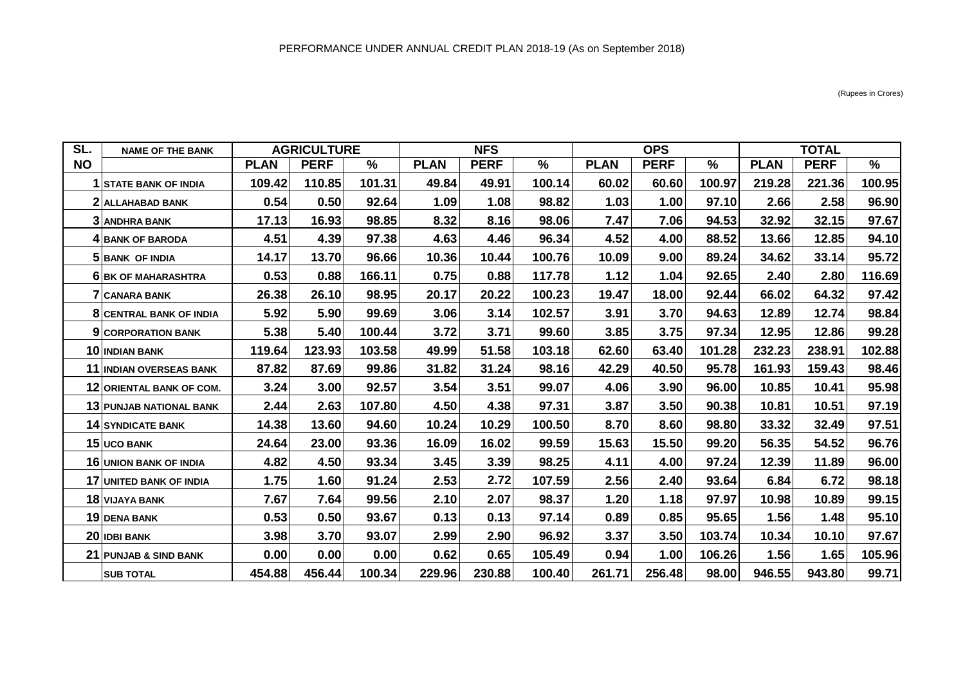| SL.       | <b>NAME OF THE BANK</b>          | <b>AGRICULTURE</b> |             |        | <b>NFS</b>  |             |        | <b>OPS</b>  |             |        | <b>TOTAL</b> |             |        |
|-----------|----------------------------------|--------------------|-------------|--------|-------------|-------------|--------|-------------|-------------|--------|--------------|-------------|--------|
| <b>NO</b> |                                  | <b>PLAN</b>        | <b>PERF</b> | %      | <b>PLAN</b> | <b>PERF</b> | $\%$   | <b>PLAN</b> | <b>PERF</b> | $\%$   | <b>PLAN</b>  | <b>PERF</b> | $\%$   |
|           | <b>STATE BANK OF INDIA</b>       | 109.42             | 110.85      | 101.31 | 49.84       | 49.91       | 100.14 | 60.02       | 60.60       | 100.97 | 219.28       | 221.36      | 100.95 |
|           | 2 ALLAHABAD BANK                 | 0.54               | 0.50        | 92.64  | 1.09        | 1.08        | 98.82  | 1.03        | 1.00        | 97.10  | 2.66         | 2.58        | 96.90  |
|           | <b>3 ANDHRA BANK</b>             | 17.13              | 16.93       | 98.85  | 8.32        | 8.16        | 98.06  | 7.47        | 7.06        | 94.53  | 32.92        | 32.15       | 97.67  |
|           | <b>4 BANK OF BARODA</b>          | 4.51               | 4.39        | 97.38  | 4.63        | 4.46        | 96.34  | 4.52        | 4.00        | 88.52  | 13.66        | 12.85       | 94.10  |
|           | 5 BANK OF INDIA                  | 14.17              | 13.70       | 96.66  | 10.36       | 10.44       | 100.76 | 10.09       | 9.00        | 89.24  | 34.62        | 33.14       | 95.72  |
|           | <b>6 BK OF MAHARASHTRA</b>       | 0.53               | 0.88        | 166.11 | 0.75        | 0.88        | 117.78 | 1.12        | 1.04        | 92.65  | 2.40         | 2.80        | 116.69 |
|           | <b>7 CANARA BANK</b>             | 26.38              | 26.10       | 98.95  | 20.17       | 20.22       | 100.23 | 19.47       | 18.00       | 92.44  | 66.02        | 64.32       | 97.42  |
|           | <b>8 CENTRAL BANK OF INDIA</b>   | 5.92               | 5.90        | 99.69  | 3.06        | 3.14        | 102.57 | 3.91        | 3.70        | 94.63  | 12.89        | 12.74       | 98.84  |
|           | <b>9 CORPORATION BANK</b>        | 5.38               | 5.40        | 100.44 | 3.72        | 3.71        | 99.60  | 3.85        | 3.75        | 97.34  | 12.95        | 12.86       | 99.28  |
|           | 10 INDIAN BANK                   | 119.64             | 123.93      | 103.58 | 49.99       | 51.58       | 103.18 | 62.60       | 63.40       | 101.28 | 232.23       | 238.91      | 102.88 |
|           | 11 INDIAN OVERSEAS BANK          | 87.82              | 87.69       | 99.86  | 31.82       | 31.24       | 98.16  | 42.29       | 40.50       | 95.78  | 161.93       | 159.43      | 98.46  |
|           | 12 ORIENTAL BANK OF COM.         | 3.24               | 3.00        | 92.57  | 3.54        | 3.51        | 99.07  | 4.06        | 3.90        | 96.00  | 10.85        | 10.41       | 95.98  |
|           | <b>13 PUNJAB NATIONAL BANK</b>   | 2.44               | 2.63        | 107.80 | 4.50        | 4.38        | 97.31  | 3.87        | 3.50        | 90.38  | 10.81        | 10.51       | 97.19  |
|           | <b>14 SYNDICATE BANK</b>         | 14.38              | 13.60       | 94.60  | 10.24       | 10.29       | 100.50 | 8.70        | 8.60        | 98.80  | 33.32        | 32.49       | 97.51  |
|           | 15 UCO BANK                      | 24.64              | 23.00       | 93.36  | 16.09       | 16.02       | 99.59  | 15.63       | 15.50       | 99.20  | 56.35        | 54.52       | 96.76  |
|           | <b>16 UNION BANK OF INDIA</b>    | 4.82               | 4.50        | 93.34  | 3.45        | 3.39        | 98.25  | 4.11        | 4.00        | 97.24  | 12.39        | 11.89       | 96.00  |
|           | 17 UNITED BANK OF INDIA          | 1.75               | 1.60        | 91.24  | 2.53        | 2.72        | 107.59 | 2.56        | 2.40        | 93.64  | 6.84         | 6.72        | 98.18  |
|           | <b>18 VIJAYA BANK</b>            | 7.67               | 7.64        | 99.56  | 2.10        | 2.07        | 98.37  | 1.20        | 1.18        | 97.97  | 10.98        | 10.89       | 99.15  |
|           | <b>19 DENA BANK</b>              | 0.53               | 0.50        | 93.67  | 0.13        | 0.13        | 97.14  | 0.89        | 0.85        | 95.65  | 1.56         | 1.48        | 95.10  |
|           | 20 IDBI BANK                     | 3.98               | 3.70        | 93.07  | 2.99        | 2.90        | 96.92  | 3.37        | 3.50        | 103.74 | 10.34        | 10.10       | 97.67  |
|           | <b>21 PUNJAB &amp; SIND BANK</b> | 0.00               | 0.00        | 0.00   | 0.62        | 0.65        | 105.49 | 0.94        | 1.00        | 106.26 | 1.56         | 1.65        | 105.96 |
|           | <b>SUB TOTAL</b>                 | 454.88             | 456.44      | 100.34 | 229.96      | 230.88      | 100.40 | 261.71      | 256.48      | 98.00  | 946.55       | 943.80      | 99.71  |

(Rupees in Crores)